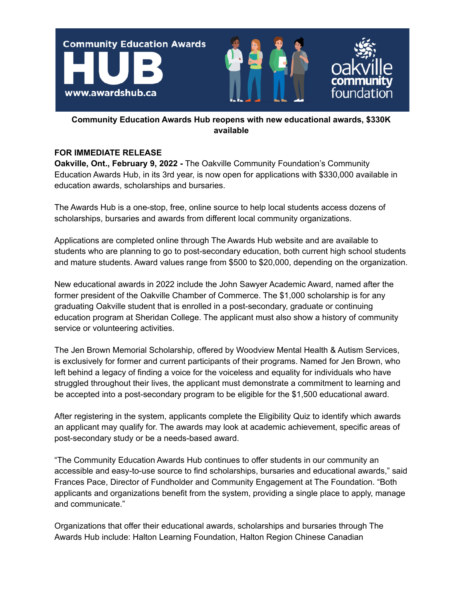

## **Community Education Awards Hub reopens with new educational awards, \$330K available**

## **FOR IMMEDIATE RELEASE**

**Oakville, Ont., February 9, 2022 -** The Oakville Community Foundation's Community Education Awards Hub, in its 3rd year, is now open for applications with \$330,000 available in education awards, scholarships and bursaries.

The Awards Hub is a one-stop, free, online source to help local students access dozens of scholarships, bursaries and awards from different local community organizations.

Applications are completed online through The Awards Hub website and are available to students who are planning to go to post-secondary education, both current high school students and mature students. Award values range from \$500 to \$20,000, depending on the organization.

New educational awards in 2022 include the John Sawyer Academic Award, named after the former president of the Oakville Chamber of Commerce. The \$1,000 scholarship is for any graduating Oakville student that is enrolled in a post-secondary, graduate or continuing education program at Sheridan College. The applicant must also show a history of community service or volunteering activities.

The Jen Brown Memorial Scholarship, offered by Woodview Mental Health & Autism Services, is exclusively for former and current participants of their programs. Named for Jen Brown, who left behind a legacy of finding a voice for the voiceless and equality for individuals who have struggled throughout their lives, the applicant must demonstrate a commitment to learning and be accepted into a post-secondary program to be eligible for the \$1,500 educational award.

After registering in the system, applicants complete the Eligibility Quiz to identify which awards an applicant may qualify for. The awards may look at academic achievement, specific areas of post-secondary study or be a needs-based award.

"The Community Education Awards Hub continues to offer students in our community an accessible and easy-to-use source to find scholarships, bursaries and educational awards," said Frances Pace, Director of Fundholder and Community Engagement at The Foundation. "Both applicants and organizations benefit from the system, providing a single place to apply, manage and communicate."

Organizations that offer their educational awards, scholarships and bursaries through The Awards Hub include: Halton Learning Foundation, Halton Region Chinese Canadian